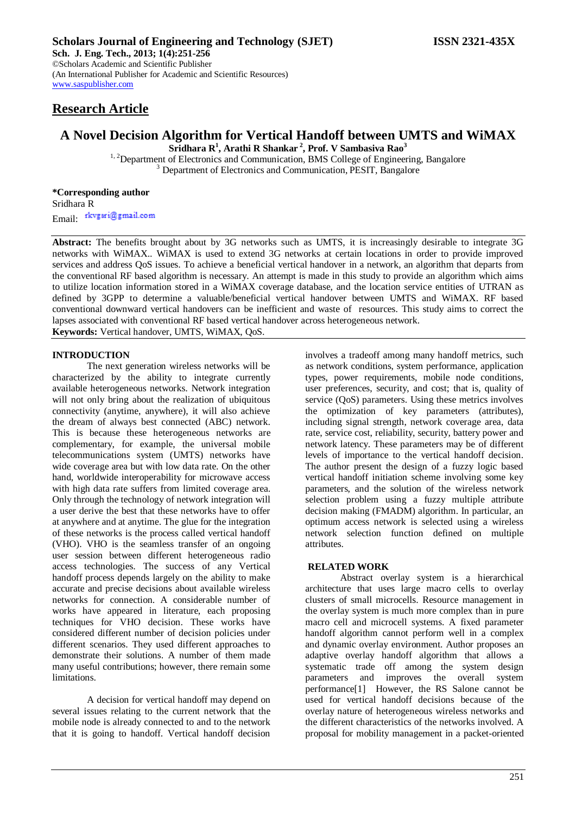# **Research Article**

# **A Novel Decision Algorithm for Vertical Handoff between UMTS and WiMAX Sridhara R<sup>1</sup> , Arathi R Shankar <sup>2</sup> , Prof. V Sambasiva Rao<sup>3</sup>**

<sup>1, 2</sup>Department of Electronics and Communication, BMS College of Engineering, Bangalore <sup>3</sup> Department of Electronics and Communication, PESIT, Bangalore

**\*Corresponding author** Sridhara R Email: rkvgsri@gmail.com

**Abstract:** The benefits brought about by 3G networks such as UMTS, it is increasingly desirable to integrate 3G networks with WiMAX.. WiMAX is used to extend 3G networks at certain locations in order to provide improved services and address QoS issues. To achieve a beneficial vertical handover in a network, an algorithm that departs from the conventional RF based algorithm is necessary. An attempt is made in this study to provide an algorithm which aims to utilize location information stored in a WiMAX coverage database, and the location service entities of UTRAN as defined by 3GPP to determine a valuable/beneficial vertical handover between UMTS and WiMAX. RF based conventional downward vertical handovers can be inefficient and waste of resources. This study aims to correct the lapses associated with conventional RF based vertical handover across heterogeneous network.

**Keywords:** Vertical handover, UMTS, WiMAX, QoS.

#### **INTRODUCTION**

The next generation wireless networks will be characterized by the ability to integrate currently available heterogeneous networks. Network integration will not only bring about the realization of ubiquitous connectivity (anytime, anywhere), it will also achieve the dream of always best connected (ABC) network. This is because these heterogeneous networks are complementary, for example, the universal mobile telecommunications system (UMTS) networks have wide coverage area but with low data rate. On the other hand, worldwide interoperability for microwave access with high data rate suffers from limited coverage area. Only through the technology of network integration will a user derive the best that these networks have to offer at anywhere and at anytime. The glue for the integration of these networks is the process called vertical handoff (VHO). VHO is the seamless transfer of an ongoing user session between different heterogeneous radio access technologies. The success of any Vertical handoff process depends largely on the ability to make accurate and precise decisions about available wireless networks for connection. A considerable number of works have appeared in literature, each proposing techniques for VHO decision. These works have considered different number of decision policies under different scenarios. They used different approaches to demonstrate their solutions. A number of them made many useful contributions; however, there remain some limitations.

A decision for vertical handoff may depend on several issues relating to the current network that the mobile node is already connected to and to the network that it is going to handoff. Vertical handoff decision

involves a tradeoff among many handoff metrics, such as network conditions, system performance, application types, power requirements, mobile node conditions, user preferences, security, and cost; that is, quality of service (QoS) parameters. Using these metrics involves the optimization of key parameters (attributes), including signal strength, network coverage area, data rate, service cost, reliability, security, battery power and network latency. These parameters may be of different levels of importance to the vertical handoff decision. The author present the design of a fuzzy logic based vertical handoff initiation scheme involving some key parameters, and the solution of the wireless network selection problem using a fuzzy multiple attribute decision making (FMADM) algorithm. In particular, an optimum access network is selected using a wireless network selection function defined on multiple attributes.

#### **RELATED WORK**

Abstract overlay system is a hierarchical architecture that uses large macro cells to overlay clusters of small microcells. Resource management in the overlay system is much more complex than in pure macro cell and microcell systems. A fixed parameter handoff algorithm cannot perform well in a complex and dynamic overlay environment. Author proposes an adaptive overlay handoff algorithm that allows a systematic trade off among the system design parameters and improves the overall system performance[1] However, the RS Salone cannot be used for vertical handoff decisions because of the overlay nature of heterogeneous wireless networks and the different characteristics of the networks involved. A proposal for mobility management in a packet-oriented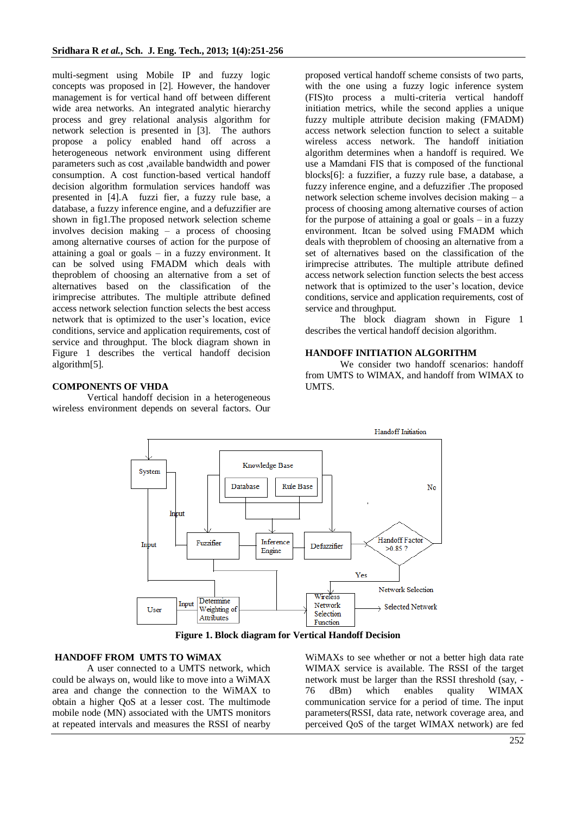multi-segment using Mobile IP and fuzzy logic concepts was proposed in [2]. However, the handover management is for vertical hand off between different wide area networks. An integrated analytic hierarchy process and grey relational analysis algorithm for network selection is presented in [3]. The authors propose a policy enabled hand off across a heterogeneous network environment using different parameters such as cost ,available bandwidth and power consumption. A cost function-based vertical handoff decision algorithm formulation services handoff was presented in [4].A fuzzi fier, a fuzzy rule base, a database, a fuzzy inference engine, and a defuzzifier are shown in fig1.The proposed network selection scheme involves decision making – a process of choosing among alternative courses of action for the purpose of attaining a goal or goals – in a fuzzy environment. It can be solved using FMADM which deals with theproblem of choosing an alternative from a set of alternatives based on the classification of the irimprecise attributes. The multiple attribute defined access network selection function selects the best access network that is optimized to the user's location, evice conditions, service and application requirements, cost of service and throughput. The block diagram shown in Figure 1 describes the vertical handoff decision algorithm[5].

# **COMPONENTS OF VHDA**

Vertical handoff decision in a heterogeneous wireless environment depends on several factors. Our proposed vertical handoff scheme consists of two parts, with the one using a fuzzy logic inference system (FIS)to process a multi-criteria vertical handoff initiation metrics, while the second applies a unique fuzzy multiple attribute decision making (FMADM) access network selection function to select a suitable wireless access network. The handoff initiation algorithm determines when a handoff is required. We use a Mamdani FIS that is composed of the functional blocks[6]: a fuzzifier, a fuzzy rule base, a database, a fuzzy inference engine, and a defuzzifier .The proposed network selection scheme involves decision making – a process of choosing among alternative courses of action for the purpose of attaining a goal or goals – in a fuzzy environment. Itcan be solved using FMADM which deals with theproblem of choosing an alternative from a set of alternatives based on the classification of the irimprecise attributes. The multiple attribute defined access network selection function selects the best access network that is optimized to the user's location, device conditions, service and application requirements, cost of service and throughput.

The block diagram shown in Figure 1 describes the vertical handoff decision algorithm.

# **HANDOFF INITIATION ALGORITHM**

We consider two handoff scenarios: handoff from UMTS to WIMAX, and handoff from WIMAX to UMTS.



**Figure 1. Block diagram for Vertical Handoff Decision**

# **HANDOFF FROM UMTS TO WiMAX**

A user connected to a UMTS network, which could be always on, would like to move into a WiMAX area and change the connection to the WiMAX to obtain a higher QoS at a lesser cost. The multimode mobile node (MN) associated with the UMTS monitors at repeated intervals and measures the RSSI of nearby

WiMAXs to see whether or not a better high data rate WIMAX service is available. The RSSI of the target network must be larger than the RSSI threshold (say, - 76 dBm) which enables quality WIMAX communication service for a period of time. The input parameters(RSSI, data rate, network coverage area, and perceived QoS of the target WIMAX network) are fed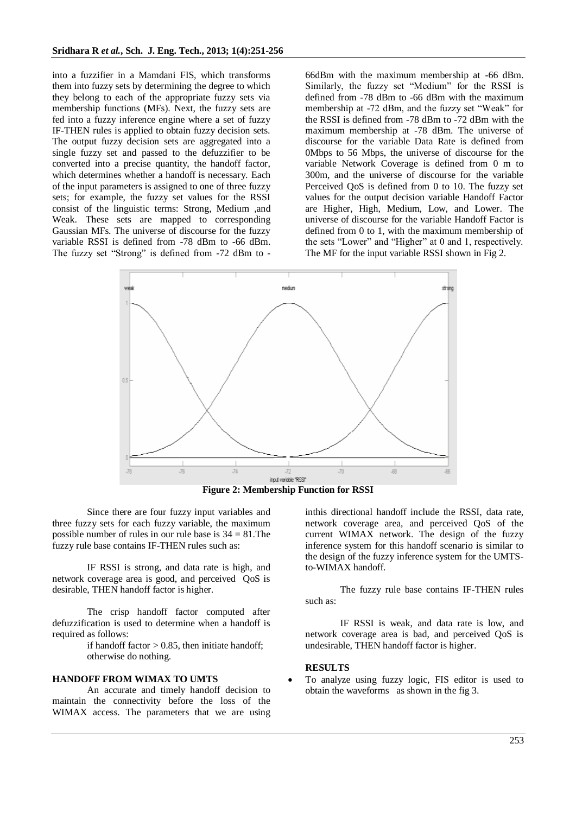into a fuzzifier in a Mamdani FIS, which transforms them into fuzzy sets by determining the degree to which they belong to each of the appropriate fuzzy sets via membership functions (MFs). Next, the fuzzy sets are fed into a fuzzy inference engine where a set of fuzzy IF-THEN rules is applied to obtain fuzzy decision sets. The output fuzzy decision sets are aggregated into a single fuzzy set and passed to the defuzzifier to be converted into a precise quantity, the handoff factor, which determines whether a handoff is necessary. Each of the input parameters is assigned to one of three fuzzy sets; for example, the fuzzy set values for the RSSI consist of the linguistic terms: Strong, Medium ,and Weak. These sets are mapped to corresponding Gaussian MFs. The universe of discourse for the fuzzy variable RSSI is defined from -78 dBm to -66 dBm. The fuzzy set "Strong" is defined from -72 dBm to -

66dBm with the maximum membership at -66 dBm. Similarly, the fuzzy set "Medium" for the RSSI is defined from -78 dBm to -66 dBm with the maximum membership at -72 dBm, and the fuzzy set "Weak" for the RSSI is defined from -78 dBm to -72 dBm with the maximum membership at -78 dBm. The universe of discourse for the variable Data Rate is defined from 0Mbps to 56 Mbps, the universe of discourse for the variable Network Coverage is defined from 0 m to 300m, and the universe of discourse for the variable Perceived QoS is defined from 0 to 10. The fuzzy set values for the output decision variable Handoff Factor are Higher, High, Medium, Low, and Lower. The universe of discourse for the variable Handoff Factor is defined from 0 to 1, with the maximum membership of the sets "Lower" and "Higher" at 0 and 1, respectively. The MF for the input variable RSSI shown in Fig 2.



**Figure 2: Membership Function for RSSI**

Since there are four fuzzy input variables and three fuzzy sets for each fuzzy variable, the maximum possible number of rules in our rule base is  $34 = 81$ . The fuzzy rule base contains IF-THEN rules such as:

IF RSSI is strong, and data rate is high, and network coverage area is good, and perceived QoS is desirable, THEN handoff factor is higher.

The crisp handoff factor computed after defuzzification is used to determine when a handoff is required as follows:

> if handoff factor  $> 0.85$ , then initiate handoff; otherwise do nothing.

# **HANDOFF FROM WIMAX TO UMTS**

An accurate and timely handoff decision to maintain the connectivity before the loss of the WIMAX access. The parameters that we are using inthis directional handoff include the RSSI, data rate, network coverage area, and perceived QoS of the current WIMAX network. The design of the fuzzy inference system for this handoff scenario is similar to the design of the fuzzy inference system for the UMTSto-WIMAX handoff.

The fuzzy rule base contains IF-THEN rules such as:

IF RSSI is weak, and data rate is low, and network coverage area is bad, and perceived QoS is undesirable, THEN handoff factor is higher.

### **RESULTS**

 To analyze using fuzzy logic, FIS editor is used to obtain the waveforms as shown in the fig 3.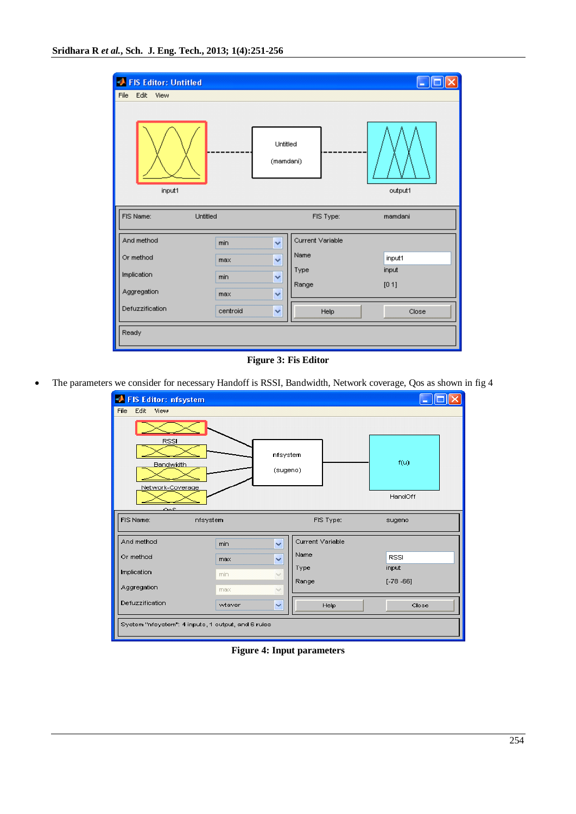| FIS Editor: Untitled  |          |                       |                  |                |
|-----------------------|----------|-----------------------|------------------|----------------|
| Edit<br>File<br>View  |          |                       |                  |                |
| input1                |          | Untitled<br>(mamdani) |                  | output1        |
| FIS Name:<br>Untitled |          |                       | FIS Type:        | mamdani        |
| And method            | min      | v                     | Current Variable |                |
| Or method             | max      | $\ddotmark$           | Name             | input1         |
| Implication           | min      | Y                     | Type<br>Range    | input<br>[0 1] |
| Aggregation           | max      | $\ddot{\phantom{1}}$  |                  |                |
| Defuzzification       | centroid | Y                     | Help             | Close          |
| Ready                 |          |                       |                  |                |

**Figure 3: Fis Editor**

The parameters we consider for necessary Handoff is RSSI, Bandwidth, Network coverage, Qos as shown in fig 4

| FIS Editor: nfsystem                               |        |                      |                  |              |  |  |
|----------------------------------------------------|--------|----------------------|------------------|--------------|--|--|
| File<br>Edit<br>View                               |        |                      |                  |              |  |  |
|                                                    |        |                      |                  |              |  |  |
| <b>RSSI</b><br><b>Bandwidth</b>                    |        | nfsystem<br>(sugeno) |                  | f(u)         |  |  |
| Network-Coverage<br>عمت                            |        |                      |                  | HandOff      |  |  |
| FIS Name:<br>nfsystem                              |        |                      | FIS Type:        | sugeno       |  |  |
| And method                                         | min    | $\checkmark$         | Current Variable |              |  |  |
| Or method                                          | max    | $\checkmark$         | Name             | <b>RSSI</b>  |  |  |
| Implication                                        | min    | $\checkmark$         | Type             | input        |  |  |
| Aggregation                                        | max    | $\checkmark$         | Range            | $[-78 - 66]$ |  |  |
| Defuzzification                                    | wtaver | $\checkmark$         | Help             | Close        |  |  |
| System "nfsystem": 4 inputs, 1 output, and 6 rules |        |                      |                  |              |  |  |

**Figure 4: Input parameters**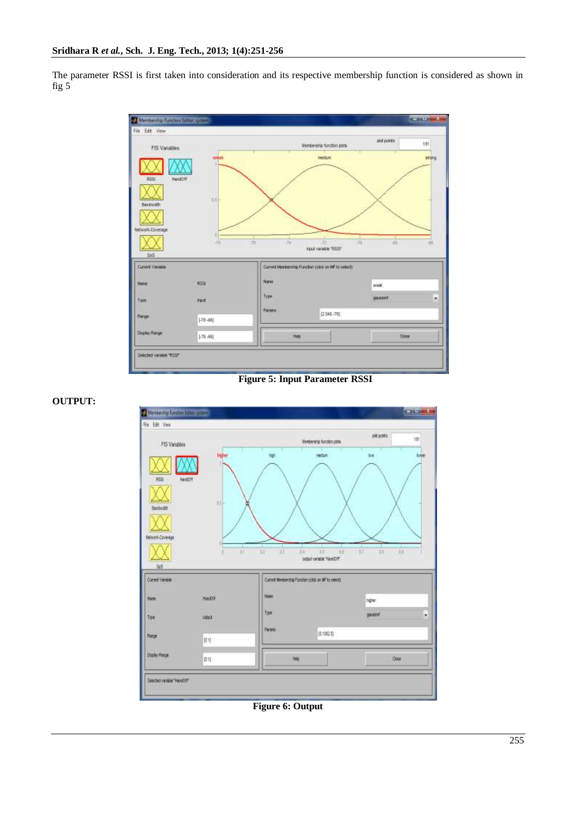**OUTPUT:**

The parameter RSSI is first taken into consideration and its respective membership function is considered as shown in fig 5



**Figure 5: Input Parameter RSSI**



**Figure 6: Output**

255